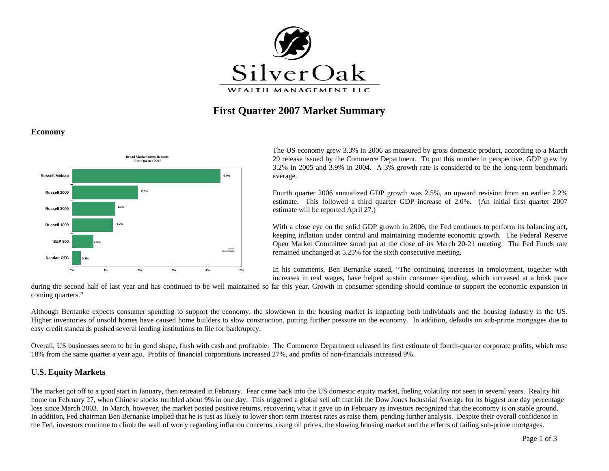

# **First Quarter 2007 Market Summary**

#### **Economy**



The US economy grew 3.3% in 2006 as measured by gross domestic product, according to a March 29 release issued by the Commerce Department. To put this number in perspective, GDP grew by 3.2% in 2005 and 3.9% in 2004. A 3% growth rate is considered to be the long-term benchmark average.

Fourth quarter 2006 annualized GDP growth was 2.5%, an upward revision from an earlier 2.2% estimate. This followed a third quarter GDP increase of 2.0%. (An initial first quarter 2007 estimate will be reported April 27.)

With a close eye on the solid GDP growth in 2006, the Fed continues to perform its balancing act, keeping inflation under control and maintaining moderate economic growth. The Federal Reserve Open Market Committee stood pat at the close of its March 20-21 meeting. The Fed Funds rate remained unchanged at 5.25% for the sixth consecutive meeting.

In his comments, Ben Bernanke stated, "The continuing increases in employment, together with increases in real wages, have helped sustain consumer spending, which increased at a brisk pace

during the second half of last year and has continued to be well maintained so far this year. Growth in consumer spending should continue to support the economic expansion in coming quarters."

Although Bernanke expects consumer spending to support the economy, the slowdown in the housing market is impacting both individuals and the housing industry in the US. Higher inventories of unsold homes have caused home builders to slow construction, putting further pressure on the economy. In addition, defaults on sub-prime mortgages due to easy credit standards pushed several lending institutions to file for bankruptcy.

Overall, US businesses seem to be in good shape, flush with cash and profitable. The Commerce Department released its first estimate of fourth-quarter corporate profits, which rose 18% from the same quarter a year ago. Profits of financial corporations increased 27%, and profits of non-financials increased 9%.

### **U.S. Equity Markets**

The market got off to a good start in January, then retreated in February. Fear came back into the US domestic equity market, fueling volatility not seen in several years. Reality hit home on February 27, when Chinese stocks tumbled about 9% in one day. This triggered a global sell off that hit the Dow Jones Industrial Average for its biggest one day percentage loss since March 2003. In March, however, the market posted positive returns, recovering what it gave up in February as investors recognized that the economy is on stable ground. In addition, Fed chairman Ben Bernanke implied that he is just as likely to lower short term interest rates as raise them, pending further analysis. Despite their overall confidence in the Fed, investors continue to climb the wall of worry regarding inflation concerns, rising oil prices, the slowing housing market and the effects of failing sub-prime mortgages.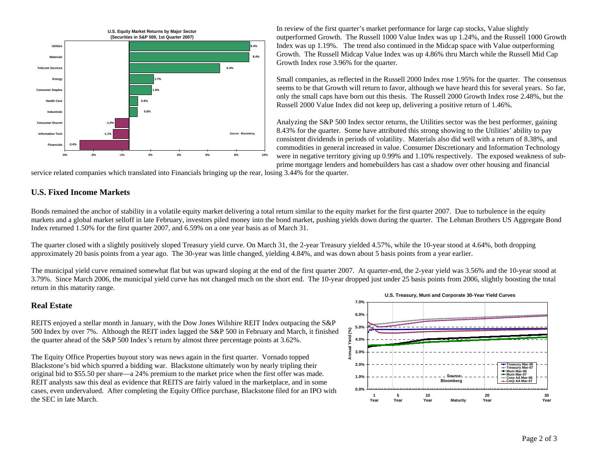

In review of the first quarter's market performance for large cap stocks, Value slightly outperformed Growth. The Russell 1000 Value Index was up 1.24%, and the Russell 1000 Growth Index was up 1.19%. The trend also continued in the Midcap space with Value outperforming Growth. The Russell Midcap Value Index was up 4.86% thru March while the Russell Mid Cap Growth Index rose 3.96% for the quarter.

Small companies, as reflected in the Russell 2000 Index rose 1.95% for the quarter. The consensus seems to be that Growth will return to favor, although we have heard this for several years. So far, only the small caps have born out this thesis. The Russell 2000 Growth Index rose 2.48%, but the Russell 2000 Value Index did not keep up, delivering a positive return of 1.46%.

Analyzing the S&P 500 Index sector returns, the Utilities sector was the best performer, gaining 8.43% for the quarter. Some have attributed this strong showing to the Utilities' ability to pay consistent dividends in periods of volatility. Materials also did well with a return of 8.38%, and commodities in general increased in value. Consumer Discretionary and Information Technology were in negative territory giving up 0.99% and 1.10% respectively. The exposed weakness of subprime mortgage lenders and homebuilders has cast a shadow over other housing and financial

service related companies which translated into Financials bringing up the rear, losing 3.44% for the quarter.

### **U.S. Fixed Income Markets**

Bonds remained the anchor of stability in a volatile equity market delivering a total return similar to the equity market for the first quarter 2007. Due to turbulence in the equity markets and a global market selloff in late February, investors piled money into the bond market, pushing yields down during the quarter. The Lehman Brothers US Aggregate Bond Index returned 1.50% for the first quarter 2007, and 6.59% on a one year basis as of March 31.

The quarter closed with a slightly positively sloped Treasury yield curve. On March 31, the 2-year Treasury yielded 4.57%, while the 10-year stood at 4.64%, both dropping approximately 20 basis points from a year ago. The 30-year was little changed, yielding 4.84%, and was down about 5 basis points from a year earlier.

The municipal yield curve remained somewhat flat but was upward sloping at the end of the first quarter 2007. At quarter-end, the 2-year yield was 3.56% and the 10-year stood at 3.79%. Since March 2006, the municipal yield curve has not changed much on the short end. The 10-year dropped just under 25 basis points from 2006, slightly boosting the total return in this maturity range.

#### **Real Estate**

REITS enjoyed a stellar month in January, with the Dow Jones Wilshire REIT Index outpacing the S&P 500 Index by over 7%. Although the REIT index lagged the S&P 500 in February and March, it finished the quarter ahead of the S&P 500 Index's return by almost three percentage points at 3.62%.

The Equity Office Properties buyout story was news again in the first quarter. Vornado topped Blackstone's bid which spurred a bidding war. Blackstone ultimately won by nearly tripling their original bid to \$55.50 per share—a 24% premium to the market price when the first offer was made. REIT analysts saw this deal as evidence that REITS are fairly valued in the marketplace, and in some cases, even undervalued. After completing the Equity Office purchase, Blackstone filed for an IPO with the SEC in late March.